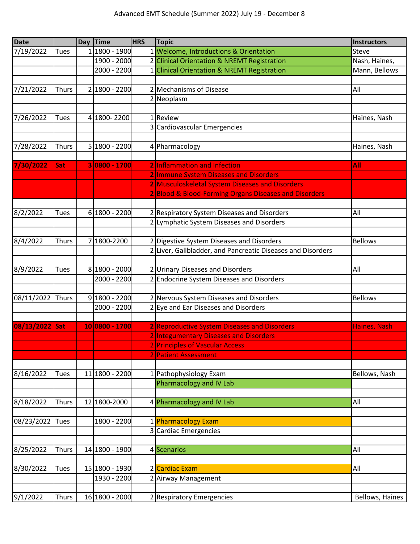| <b>Date</b>    |              | Day Time       | <b>HRS</b> | <b>Topic</b>                                                                                             | <b>Instructors</b> |
|----------------|--------------|----------------|------------|----------------------------------------------------------------------------------------------------------|--------------------|
| 7/19/2022      | <b>Tues</b>  | 1 1800 - 1900  |            | 1 Welcome, Introductions & Orientation                                                                   | Steve              |
|                |              | 1900 - 2000    |            | 2 Clinical Orientation & NREMT Registration                                                              | Nash, Haines,      |
|                |              | 2000 - 2200    |            | 1 Clinical Orientation & NREMT Registration                                                              | Mann, Bellows      |
|                |              |                |            |                                                                                                          |                    |
| 7/21/2022      | <b>Thurs</b> | 2 1800 - 2200  |            | 2 Mechanisms of Disease                                                                                  | All                |
|                |              |                |            | 2 Neoplasm                                                                                               |                    |
|                |              |                |            |                                                                                                          |                    |
| 7/26/2022      | <b>Tues</b>  | 4 1800-2200    |            | 1 Review                                                                                                 | Haines, Nash       |
|                |              |                |            | 3 Cardiovascular Emergencies                                                                             |                    |
|                |              |                |            |                                                                                                          |                    |
| 7/28/2022      | Thurs        | 5 1800 - 2200  |            | 4 Pharmacology                                                                                           | Haines, Nash       |
|                |              |                |            |                                                                                                          |                    |
| 7/30/2022      | Sat          | 30800 - 1700   |            | 2 Inflammation and Infection                                                                             | All                |
|                |              |                |            | 2 Immune System Diseases and Disorders                                                                   |                    |
|                |              |                |            | 2 Musculoskeletal System Diseases and Disorders<br>2 Blood & Blood-Forming Organs Diseases and Disorders |                    |
|                |              |                |            |                                                                                                          |                    |
| 8/2/2022       | <b>Tues</b>  | 6 1800 - 2200  |            | 2 Respiratory System Diseases and Disorders                                                              | All                |
|                |              |                |            | 2 Lymphatic System Diseases and Disorders                                                                |                    |
|                |              |                |            |                                                                                                          |                    |
| 8/4/2022       | <b>Thurs</b> | 7 1800-2200    |            | 2 Digestive System Diseases and Disorders                                                                | <b>Bellows</b>     |
|                |              |                |            | 2 Liver, Gallbladder, and Pancreatic Diseases and Disorders                                              |                    |
|                |              |                |            |                                                                                                          |                    |
| 8/9/2022       | <b>Tues</b>  | 8 1800 - 2000  |            | 2 Urinary Diseases and Disorders                                                                         | All                |
|                |              | 2000 - 2200    |            | 2 Endocrine System Diseases and Disorders                                                                |                    |
|                |              |                |            |                                                                                                          |                    |
| 08/11/2022     | Thurs        | 9 1800 - 2200  |            | 2 Nervous System Diseases and Disorders                                                                  | <b>Bellows</b>     |
|                |              | 2000 - 2200    |            | 2 Eye and Ear Diseases and Disorders                                                                     |                    |
|                |              |                |            |                                                                                                          |                    |
| 08/13/2022 Sat |              | 10 0800 - 1700 |            | 2 Reproductive System Diseases and Disorders                                                             | Haines, Nash       |
|                |              |                |            | 2 Integumentary Diseases and Disorders                                                                   |                    |
|                |              |                |            | 2 Principles of Vascular Access                                                                          |                    |
|                |              |                |            | 2 Patient Assessment                                                                                     |                    |
|                |              |                |            |                                                                                                          |                    |
| 8/16/2022      | <b>Tues</b>  | 11 1800 - 2200 |            | 1 Pathophysiology Exam                                                                                   | Bellows, Nash      |
|                |              |                |            | <b>Pharmacology and IV Lab</b>                                                                           |                    |
|                |              |                |            |                                                                                                          |                    |
| 8/18/2022      | Thurs        | 12 1800-2000   |            | 4 Pharmacology and IV Lab                                                                                | All                |
|                |              |                |            |                                                                                                          |                    |
| 08/23/2022     | Tues         | 1800 - 2200    |            | 1 Pharmacology Exam                                                                                      |                    |
|                |              |                |            | 3 Cardiac Emergencies                                                                                    |                    |
|                |              |                |            |                                                                                                          |                    |
| 8/25/2022      | Thurs        | 14 1800 - 1900 |            | 4 Scenarios                                                                                              | All                |
|                | <b>Tues</b>  | 15 1800 - 1930 |            | 2 Cardiac Exam                                                                                           |                    |
| 8/30/2022      |              | 1930 - 2200    |            | 2 Airway Management                                                                                      | All                |
|                |              |                |            |                                                                                                          |                    |
| 9/1/2022       | Thurs        | 16 1800 - 2000 |            | 2 Respiratory Emergencies                                                                                | Bellows, Haines    |
|                |              |                |            |                                                                                                          |                    |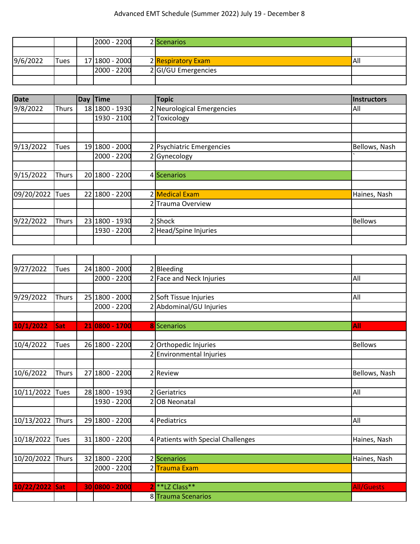|          |      | 2000 - 2200    | 2 Scenarios         |     |
|----------|------|----------------|---------------------|-----|
|          |      |                |                     |     |
| 9/6/2022 | Tues | 17 1800 - 2000 | 2 Respiratory Exam  | All |
|          |      | 2000 - 2200    | 2 GI/GU Emergencies |     |
|          |      |                |                     |     |

| <b>Date</b> |              | <b>Day</b> | <b>Time</b>    | <b>Topic</b>               | Instructors    |
|-------------|--------------|------------|----------------|----------------------------|----------------|
| 9/8/2022    | <b>Thurs</b> |            | 18 1800 - 1930 | 2 Neurological Emergencies | All            |
|             |              |            | 1930 - 2100    | 2 Toxicology               |                |
|             |              |            |                |                            |                |
|             |              |            |                |                            |                |
| 9/13/2022   | Tues         |            | 19 1800 - 2000 | 2 Psychiatric Emergencies  | Bellows, Nash  |
|             |              |            | 2000 - 2200    | 2 Gynecology               |                |
|             |              |            |                |                            |                |
| 9/15/2022   | <b>Thurs</b> |            | 20 1800 - 2200 | 4 Scenarios                |                |
|             |              |            |                |                            |                |
| 09/20/2022  | Tues         |            | 22 1800 - 2200 | 2 Medical Exam             | Haines, Nash   |
|             |              |            |                | 2 Trauma Overview          |                |
|             |              |            |                |                            |                |
| 9/22/2022   | <b>Thurs</b> |            | 23 1800 - 1930 | 2 Shock                    | <b>Bellows</b> |
|             |              |            | 1930 - 2200    | 2 Head/Spine Injuries      |                |
|             |              |            |                |                            |                |

| 9/27/2022        | Tues         |    | 24 1800 - 2000 | 2 Bleeding                             |                   |
|------------------|--------------|----|----------------|----------------------------------------|-------------------|
|                  |              |    | 2000 - 2200    | 2 Face and Neck Injuries               | All               |
|                  |              |    |                |                                        |                   |
| 9/29/2022        | Thurs        |    | 25 1800 - 2000 | 2 Soft Tissue Injuries                 | All               |
|                  |              |    | 2000 - 2200    | 2 Abdominal/GU Injuries                |                   |
|                  |              |    |                |                                        |                   |
| 10/1/2022        | Sat          |    | 21 0800 - 1700 | <b>8</b> Scenarios                     | All               |
|                  |              |    |                |                                        |                   |
| 10/4/2022        | <b>Tues</b>  |    | 26 1800 - 2200 | 2 Orthopedic Injuries                  | <b>Bellows</b>    |
|                  |              |    |                | 2 Environmental Injuries               |                   |
|                  |              |    |                |                                        |                   |
| 10/6/2022        | <b>Thurs</b> | 27 | 1800 - 2200    | 2 Review                               | Bellows, Nash     |
|                  |              |    |                |                                        |                   |
| 10/11/2022 Tues  |              |    | 28 1800 - 1930 | 2 Geriatrics                           | All               |
|                  |              |    | 1930 - 2200    | 2 OB Neonatal                          |                   |
|                  |              |    |                |                                        |                   |
| 10/13/2022 Thurs |              |    | 29 1800 - 2200 | 4 Pediatrics                           | All               |
|                  |              |    |                |                                        |                   |
| 10/18/2022 Tues  |              |    | 31 1800 - 2200 | 4 Patients with Special Challenges     | Haines, Nash      |
|                  |              |    |                |                                        |                   |
| 10/20/2022 Thurs |              |    | 32 1800 - 2200 | 2 Scenarios                            | Haines, Nash      |
|                  |              |    | 2000 - 2200    | 2 Trauma Exam                          |                   |
|                  |              |    |                |                                        |                   |
| 10/22/2022 Sat   |              |    | 30 0800 - 2000 | 2 <sup>**</sup> LZ Class <sup>**</sup> | <b>All/Guests</b> |
|                  |              |    |                | 8 Trauma Scenarios                     |                   |